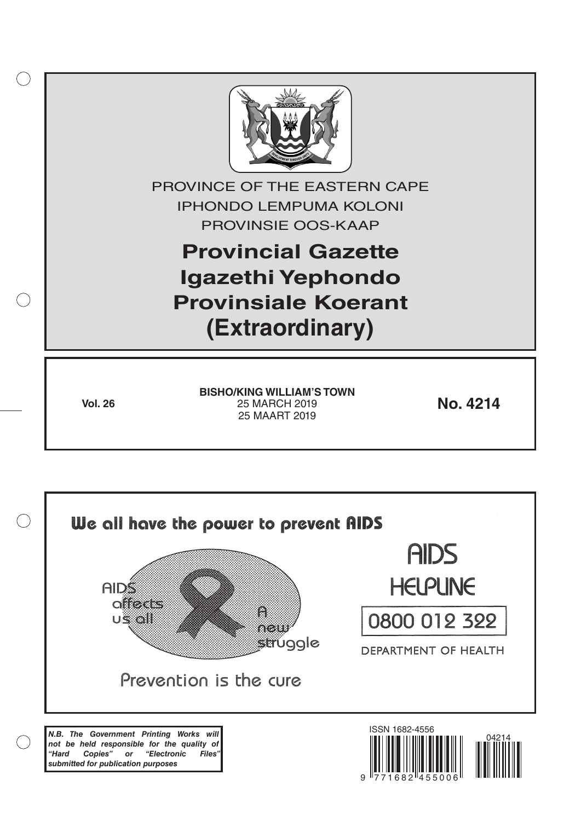

We all have the power to prevent AIDS **AIDS HELPLINE AIDS offects** A 0800 012 322 **US 81** new strüggle DEPARTMENT OF HEALTH Prevention is the cure ISSN 1682-4556 *N.B. The Government Printing Works will*  04214*not be held responsible for the quality of "Hard Copies" or "Electronic Files" submitted for publication purposes*

9 <sup>11</sup>771682 <sup>11</sup>455006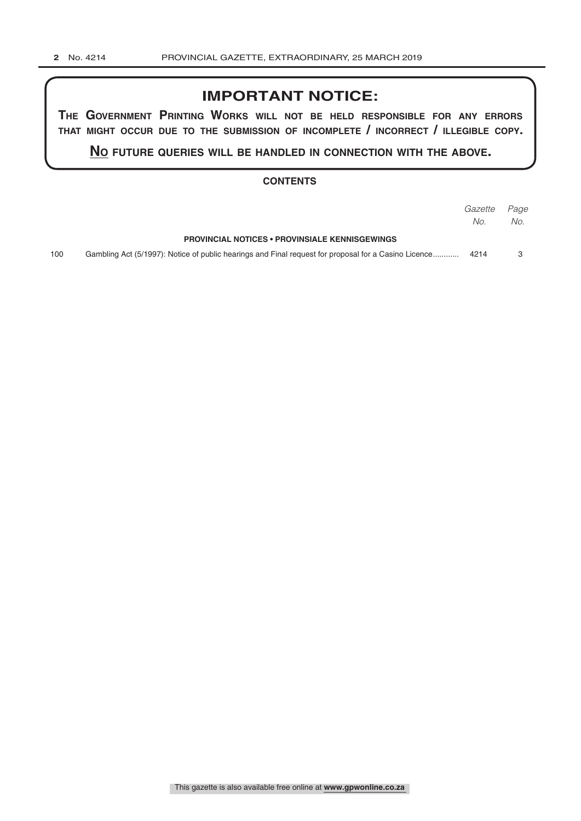## **IMPORTANT NOTICE:**

**The GovernmenT PrinTinG Works Will noT be held resPonsible for any errors ThaT miGhT occur due To The submission of incomPleTe / incorrecT / illeGible coPy.**

**no fuTure queries Will be handled in connecTion WiTh The above.**

## **CONTENTS**

|                                                       |                                                                                                      | Gazette | Page |
|-------------------------------------------------------|------------------------------------------------------------------------------------------------------|---------|------|
|                                                       |                                                                                                      | No.     | No.  |
| <b>PROVINCIAL NOTICES • PROVINSIALE KENNISGEWINGS</b> |                                                                                                      |         |      |
| 100                                                   | Gambling Act (5/1997): Notice of public hearings and Final request for proposal for a Casino Licence | 4214    |      |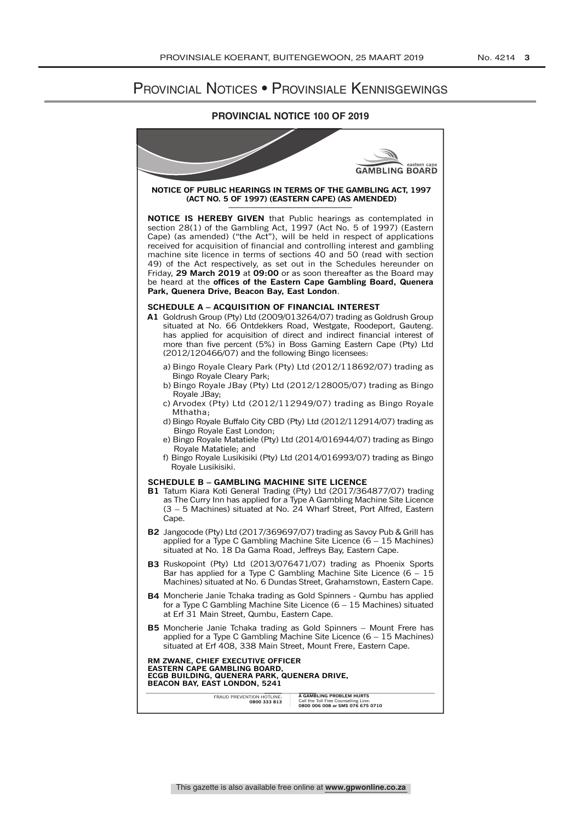## Provincial Notices • Provinsiale Kennisgewings

## **PROVINCIAL NOTICE 100 OF 2019**

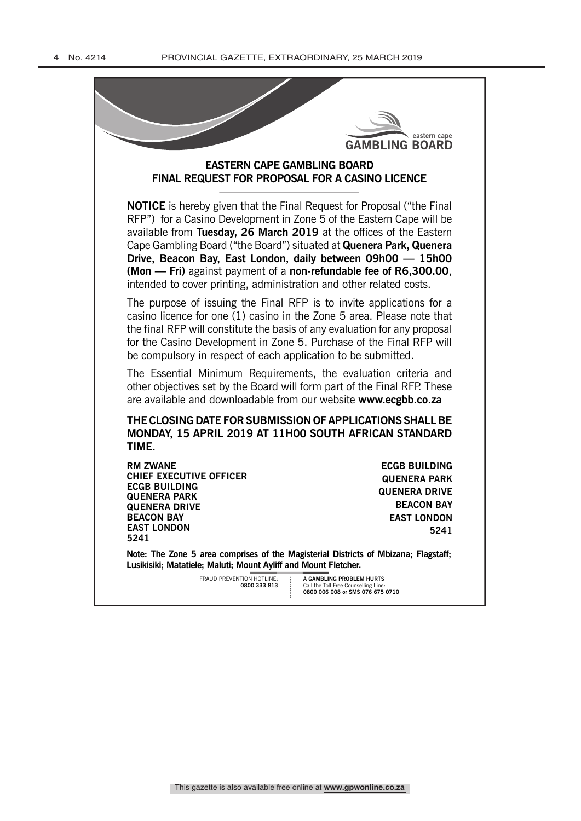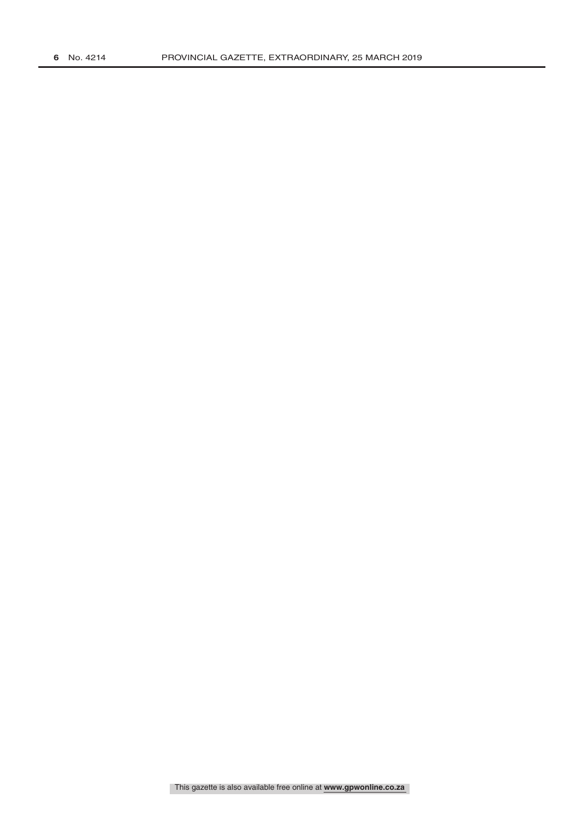This gazette is also available free online at **www.gpwonline.co.za**